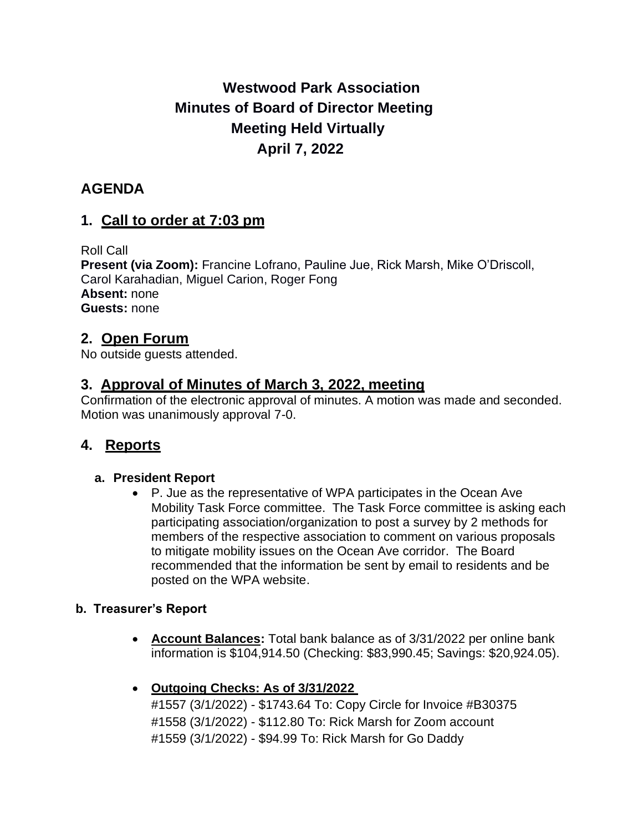# **Westwood Park Association Minutes of Board of Director Meeting Meeting Held Virtually April 7, 2022**

## **AGENDA**

### **1. Call to order at 7:03 pm**

Roll Call **Present (via Zoom):** Francine Lofrano, Pauline Jue, Rick Marsh, Mike O'Driscoll, Carol Karahadian, Miguel Carion, Roger Fong **Absent:** none **Guests:** none

### **2. Open Forum**

No outside guests attended.

### **3. Approval of Minutes of March 3, 2022, meeting**

Confirmation of the electronic approval of minutes. A motion was made and seconded. Motion was unanimously approval 7-0.

### **4. Reports**

#### **a. President Report**

• P. Jue as the representative of WPA participates in the Ocean Ave Mobility Task Force committee. The Task Force committee is asking each participating association/organization to post a survey by 2 methods for members of the respective association to comment on various proposals to mitigate mobility issues on the Ocean Ave corridor. The Board recommended that the information be sent by email to residents and be posted on the WPA website.

#### **b. Treasurer's Report**

- **Account Balances:** Total bank balance as of 3/31/2022 per online bank information is \$104,914.50 (Checking: \$83,990.45; Savings: \$20,924.05).
- **Outgoing Checks: As of 3/31/2022**

#1557 (3/1/2022) - \$1743.64 To: Copy Circle for Invoice #B30375 #1558 (3/1/2022) - \$112.80 To: Rick Marsh for Zoom account #1559 (3/1/2022) - \$94.99 To: Rick Marsh for Go Daddy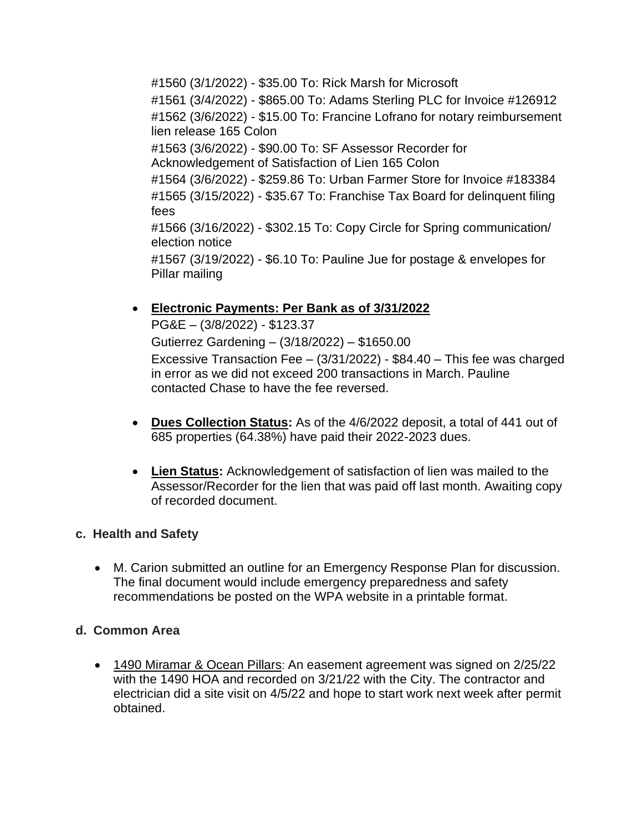#1560 (3/1/2022) - \$35.00 To: Rick Marsh for Microsoft #1561 (3/4/2022) - \$865.00 To: Adams Sterling PLC for Invoice #126912 #1562 (3/6/2022) - \$15.00 To: Francine Lofrano for notary reimbursement lien release 165 Colon #1563 (3/6/2022) - \$90.00 To: SF Assessor Recorder for Acknowledgement of Satisfaction of Lien 165 Colon #1564 (3/6/2022) - \$259.86 To: Urban Farmer Store for Invoice #183384 #1565 (3/15/2022) - \$35.67 To: Franchise Tax Board for delinquent filing fees #1566 (3/16/2022) - \$302.15 To: Copy Circle for Spring communication/ election notice #1567 (3/19/2022) - \$6.10 To: Pauline Jue for postage & envelopes for Pillar mailing

• **Electronic Payments: Per Bank as of 3/31/2022**

PG&E – (3/8/2022) - \$123.37 Gutierrez Gardening – (3/18/2022) – \$1650.00 Excessive Transaction Fee – (3/31/2022) - \$84.40 – This fee was charged in error as we did not exceed 200 transactions in March. Pauline contacted Chase to have the fee reversed.

- **Dues Collection Status:** As of the 4/6/2022 deposit, a total of 441 out of 685 properties (64.38%) have paid their 2022-2023 dues.
- **Lien Status:** Acknowledgement of satisfaction of lien was mailed to the Assessor/Recorder for the lien that was paid off last month. Awaiting copy of recorded document.

#### **c. Health and Safety**

• M. Carion submitted an outline for an Emergency Response Plan for discussion. The final document would include emergency preparedness and safety recommendations be posted on the WPA website in a printable format.

#### **d. Common Area**

• 1490 Miramar & Ocean Pillars: An easement agreement was signed on 2/25/22 with the 1490 HOA and recorded on 3/21/22 with the City. The contractor and electrician did a site visit on 4/5/22 and hope to start work next week after permit obtained.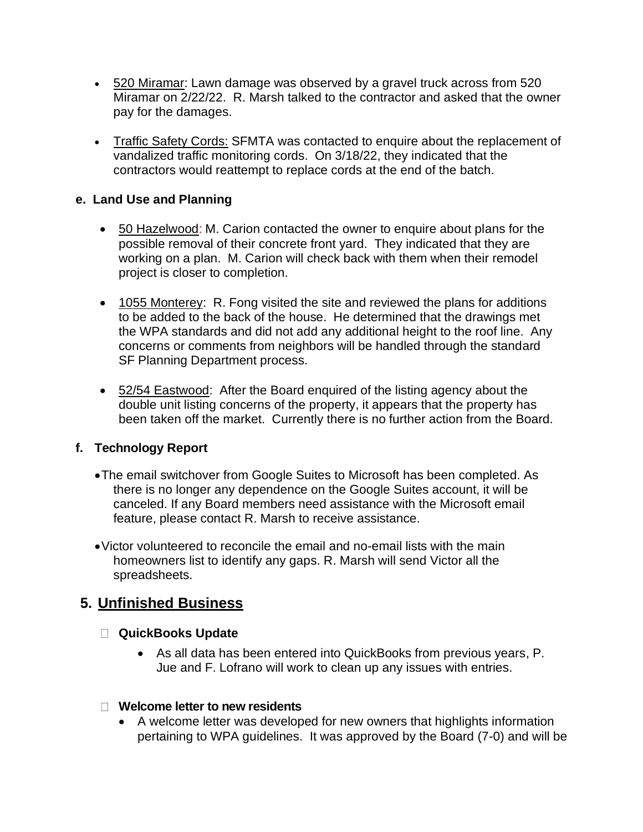- 520 Miramar: Lawn damage was observed by a gravel truck across from 520 Miramar on 2/22/22. R. Marsh talked to the contractor and asked that the owner pay for the damages.
- Traffic Safety Cords: SFMTA was contacted to enquire about the replacement of vandalized traffic monitoring cords. On 3/18/22, they indicated that the contractors would reattempt to replace cords at the end of the batch.

#### **e. Land Use and Planning**

- 50 Hazelwood: M. Carion contacted the owner to enquire about plans for the possible removal of their concrete front yard. They indicated that they are working on a plan. M. Carion will check back with them when their remodel project is closer to completion.
- 1055 Monterey: R. Fong visited the site and reviewed the plans for additions to be added to the back of the house. He determined that the drawings met the WPA standards and did not add any additional height to the roof line. Any concerns or comments from neighbors will be handled through the standard SF Planning Department process.
- 52/54 Eastwood: After the Board enquired of the listing agency about the double unit listing concerns of the property, it appears that the property has been taken off the market. Currently there is no further action from the Board.

#### **f. Technology Report**

- •The email switchover from Google Suites to Microsoft has been completed. As there is no longer any dependence on the Google Suites account, it will be canceled. If any Board members need assistance with the Microsoft email feature, please contact R. Marsh to receive assistance.
- •Victor volunteered to reconcile the email and no-email lists with the main homeowners list to identify any gaps. R. Marsh will send Victor all the spreadsheets.

### **5. Unfinished Business**

#### **QuickBooks Update**

• As all data has been entered into QuickBooks from previous years, P. Jue and F. Lofrano will work to clean up any issues with entries.

#### **Welcome letter to new residents**

• A welcome letter was developed for new owners that highlights information pertaining to WPA guidelines. It was approved by the Board (7-0) and will be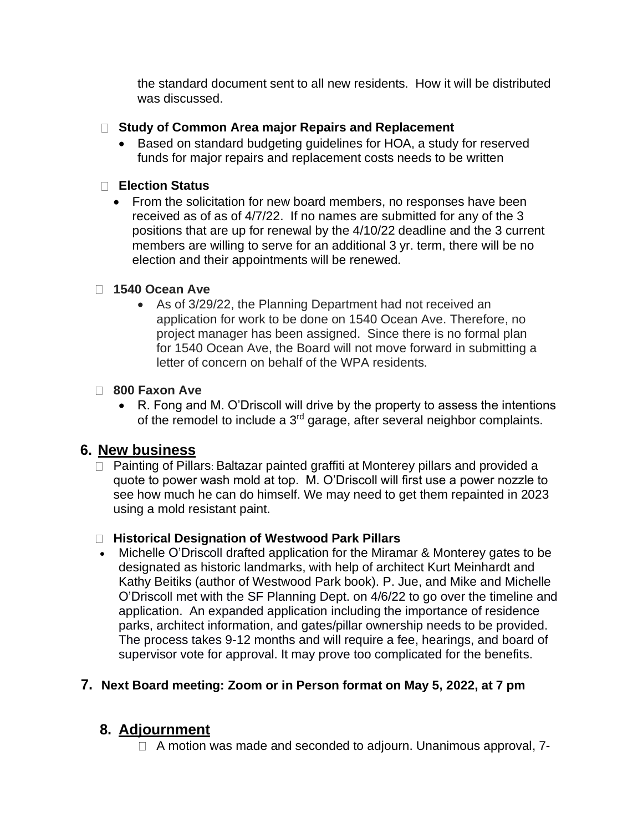the standard document sent to all new residents. How it will be distributed was discussed.

### **Study of Common Area major Repairs and Replacement**

• Based on standard budgeting guidelines for HOA, a study for reserved funds for major repairs and replacement costs needs to be written

### **Election Status**

• From the solicitation for new board members, no responses have been received as of as of 4/7/22. If no names are submitted for any of the 3 positions that are up for renewal by the 4/10/22 deadline and the 3 current members are willing to serve for an additional 3 yr. term, there will be no election and their appointments will be renewed.

### **1540 Ocean Ave**

• As of 3/29/22, the Planning Department had not received an application for work to be done on 1540 Ocean Ave. Therefore, no project manager has been assigned. Since there is no formal plan for 1540 Ocean Ave, the Board will not move forward in submitting a letter of concern on behalf of the WPA residents.

### **800 Faxon Ave**

• R. Fong and M. O'Driscoll will drive by the property to assess the intentions of the remodel to include a  $3<sup>rd</sup>$  garage, after several neighbor complaints.

### **6. New business**

□ Painting of Pillars: Baltazar painted graffiti at Monterey pillars and provided a quote to power wash mold at top. M. O'Driscoll will first use a power nozzle to see how much he can do himself. We may need to get them repainted in 2023 using a mold resistant paint.

### **Historical Designation of Westwood Park Pillars**

• Michelle O'Driscoll drafted application for the Miramar & Monterey gates to be designated as historic landmarks, with help of architect Kurt Meinhardt and Kathy Beitiks (author of Westwood Park book). P. Jue, and Mike and Michelle O'Driscoll met with the SF Planning Dept. on 4/6/22 to go over the timeline and application. An expanded application including the importance of residence parks, architect information, and gates/pillar ownership needs to be provided. The process takes 9-12 months and will require a fee, hearings, and board of supervisor vote for approval. It may prove too complicated for the benefits.

### **7. Next Board meeting: Zoom or in Person format on May 5, 2022, at 7 pm**

# **8. Adjournment**

 $\Box$  A motion was made and seconded to adjourn. Unanimous approval,  $7$ -